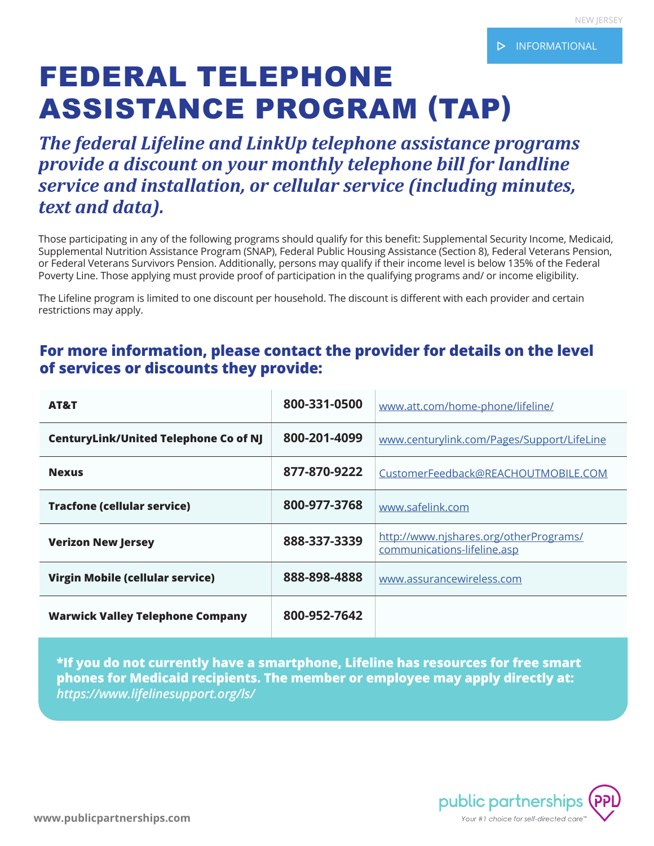# FEDERAL TELEPHONE ASSISTANCE PROGRAM (TAP)

*The federal Lifeline and LinkUp telephone assistance programs provide a discount on your monthly telephone bill for landline service and installation, or cellular service (including minutes, text and data).* 

Those participating in any of the following programs should qualify for this benefit: Supplemental Security Income, Medicaid, Supplemental Nutrition Assistance Program (SNAP), Federal Public Housing Assistance (Section 8), Federal Veterans Pension, or Federal Veterans Survivors Pension. Additionally, persons may qualify if their income level is below 135% of the Federal Poverty Line. Those applying must provide proof of participation in the qualifying programs and/ or income eligibility.

The Lifeline program is limited to one discount per household. The discount is different with each provider and certain restrictions may apply.

# **For more information, please contact the provider for details on the level of services or discounts they provide:**

| AT&T                                         | 800-331-0500 | www.att.com/home-phone/lifeline/                                      |
|----------------------------------------------|--------------|-----------------------------------------------------------------------|
| <b>CenturyLink/United Telephone Co of NJ</b> | 800-201-4099 | www.centurylink.com/Pages/Support/LifeLine                            |
| <b>Nexus</b>                                 | 877-870-9222 | CustomerFeedback@REACHOUTMOBILE.COM                                   |
| <b>Tracfone (cellular service)</b>           | 800-977-3768 | www.safelink.com                                                      |
| <b>Verizon New Jersey</b>                    | 888-337-3339 | http://www.njshares.org/otherPrograms/<br>communications-lifeline.asp |
| <b>Virgin Mobile (cellular service)</b>      | 888-898-4888 | www.assurancewireless.com                                             |
| <b>Warwick Valley Telephone Company</b>      | 800-952-7642 |                                                                       |

**\*If you do not currently have a smartphone, Lifeline has resources for free smart phones for Medicaid recipients. The member or employee may apply directly at:**  *https://www.lifelinesupport.org/ls/*